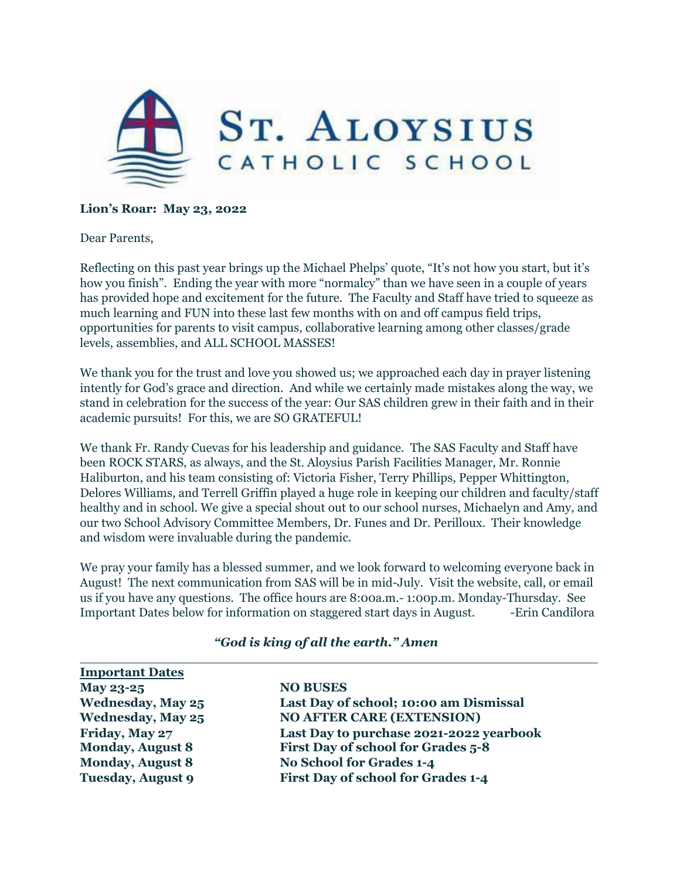

## **Lion's Roar: May 23, 2022**

Dear Parents,

Reflecting on this past year brings up the Michael Phelps' quote, "It's not how you start, but it's how you finish". Ending the year with more "normalcy" than we have seen in a couple of years has provided hope and excitement for the future. The Faculty and Staff have tried to squeeze as much learning and FUN into these last few months with on and off campus field trips, opportunities for parents to visit campus, collaborative learning among other classes/grade levels, assemblies, and ALL SCHOOL MASSES!

We thank you for the trust and love you showed us; we approached each day in prayer listening intently for God's grace and direction. And while we certainly made mistakes along the way, we stand in celebration for the success of the year: Our SAS children grew in their faith and in their academic pursuits! For this, we are SO GRATEFUL!

We thank Fr. Randy Cuevas for his leadership and guidance. The SAS Faculty and Staff have been ROCK STARS, as always, and the St. Aloysius Parish Facilities Manager, Mr. Ronnie Haliburton, and his team consisting of: Victoria Fisher, Terry Phillips, Pepper Whittington, Delores Williams, and Terrell Griffin played a huge role in keeping our children and faculty/staff healthy and in school. We give a special shout out to our school nurses, Michaelyn and Amy, and our two School Advisory Committee Members, Dr. Funes and Dr. Perilloux. Their knowledge and wisdom were invaluable during the pandemic.

We pray your family has a blessed summer, and we look forward to welcoming everyone back in August! The next communication from SAS will be in mid-July. Visit the website, call, or email us if you have any questions. The office hours are 8:00a.m.- 1:00p.m. Monday-Thursday. See Important Dates below for information on staggered start days in August. -Erin Candilora

 $\_$  , and the set of the set of the set of the set of the set of the set of the set of the set of the set of the set of the set of the set of the set of the set of the set of the set of the set of the set of the set of th

| <b>Important Dates</b>   |                                           |
|--------------------------|-------------------------------------------|
| May 23-25                | <b>NO BUSES</b>                           |
| <b>Wednesday, May 25</b> | Last Day of school; 10:00 am Dismissal    |
| <b>Wednesday, May 25</b> | <b>NO AFTER CARE (EXTENSION)</b>          |
| Friday, May 27           | Last Day to purchase 2021-2022 yearbook   |
| <b>Monday, August 8</b>  | First Day of school for Grades 5-8        |
| <b>Monday, August 8</b>  | <b>No School for Grades 1-4</b>           |
| <b>Tuesday, August 9</b> | <b>First Day of school for Grades 1-4</b> |

## *"God is king of all the earth." Amen*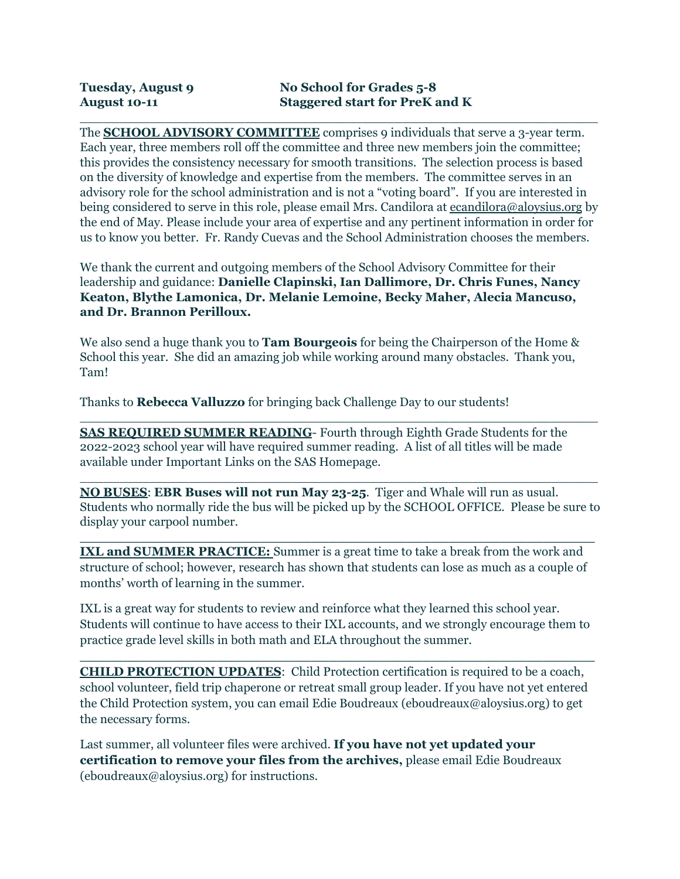The **SCHOOL ADVISORY COMMITTEE** comprises 9 individuals that serve a 3-year term. Each year, three members roll off the committee and three new members join the committee; this provides the consistency necessary for smooth transitions. The selection process is based on the diversity of knowledge and expertise from the members. The committee serves in an advisory role for the school administration and is not a "voting board". If you are interested in being considered to serve in this role, please email Mrs. Candilora at [ecandilora@aloysius.org](mailto:ecandilora@aloysius.org) by the end of May. Please include your area of expertise and any pertinent information in order for us to know you better. Fr. Randy Cuevas and the School Administration chooses the members.

 $\_$  , and the set of the set of the set of the set of the set of the set of the set of the set of the set of the set of the set of the set of the set of the set of the set of the set of the set of the set of the set of th

We thank the current and outgoing members of the School Advisory Committee for their leadership and guidance: **Danielle Clapinski, Ian Dallimore, Dr. Chris Funes, Nancy Keaton, Blythe Lamonica, Dr. Melanie Lemoine, Becky Maher, Alecia Mancuso, and Dr. Brannon Perilloux.**

We also send a huge thank you to **Tam Bourgeois** for being the Chairperson of the Home & School this year. She did an amazing job while working around many obstacles. Thank you, Tam!

Thanks to **Rebecca Valluzzo** for bringing back Challenge Day to our students!

**SAS REQUIRED SUMMER READING**- Fourth through Eighth Grade Students for the 2022-2023 school year will have required summer reading. A list of all titles will be made available under Important Links on the SAS Homepage.

**NO BUSES**: **EBR Buses will not run May 23-25**. Tiger and Whale will run as usual. Students who normally ride the bus will be picked up by the SCHOOL OFFICE. Please be sure to display your carpool number.

**\_\_\_\_\_\_\_\_\_\_\_\_\_\_\_\_\_\_\_\_\_\_\_\_\_\_\_\_\_\_\_\_\_\_\_\_\_\_\_\_\_\_\_\_\_\_\_\_\_\_\_\_\_\_\_\_\_\_\_\_**

 $\_$  , and the set of the set of the set of the set of the set of the set of the set of the set of the set of the set of the set of the set of the set of the set of the set of the set of the set of the set of the set of th

 $\_$  , and the set of the set of the set of the set of the set of the set of the set of the set of the set of the set of the set of the set of the set of the set of the set of the set of the set of the set of the set of th

**IXL and SUMMER PRACTICE:** Summer is a great time to take a break from the work and structure of school; however, research has shown that students can lose as much as a couple of months' worth of learning in the summer.

IXL is a great way for students to review and reinforce what they learned this school year. Students will continue to have access to their IXL accounts, and we strongly encourage them to practice grade level skills in both math and ELA throughout the summer.

**\_\_\_\_\_\_\_\_\_\_\_\_\_\_\_\_\_\_\_\_\_\_\_\_\_\_\_\_\_\_\_\_\_\_\_\_\_\_\_\_\_\_\_\_\_\_\_\_\_\_\_\_\_\_\_\_\_\_\_\_**

**CHILD PROTECTION UPDATES**: Child Protection certification is required to be a coach, school volunteer, field trip chaperone or retreat small group leader. If you have not yet entered the Child Protection system, you can email Edie Boudreaux (eboudreaux@aloysius.org) to get the necessary forms.

Last summer, all volunteer files were archived. **If you have not yet updated your certification to remove your files from the archives,** please email Edie Boudreaux (eboudreaux@aloysius.org) for instructions.